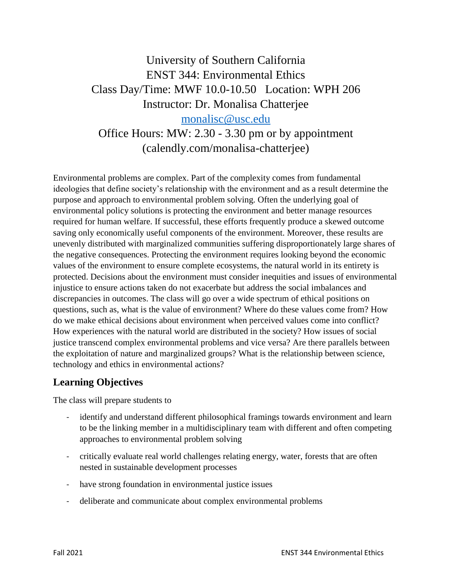# University of Southern California ENST 344: Environmental Ethics Class Day/Time: MWF 10.0-10.50 Location: WPH 206 Instructor: Dr. Monalisa Chatterjee [monalisc@usc.edu](mailto:monalisc@usc.edu) Office Hours: MW: 2.30 - 3.30 pm or by appointment

(calendly.com/monalisa-chatterjee)

Environmental problems are complex. Part of the complexity comes from fundamental ideologies that define society's relationship with the environment and as a result determine the purpose and approach to environmental problem solving. Often the underlying goal of environmental policy solutions is protecting the environment and better manage resources required for human welfare. If successful, these efforts frequently produce a skewed outcome saving only economically useful components of the environment. Moreover, these results are unevenly distributed with marginalized communities suffering disproportionately large shares of the negative consequences. Protecting the environment requires looking beyond the economic values of the environment to ensure complete ecosystems, the natural world in its entirety is protected. Decisions about the environment must consider inequities and issues of environmental injustice to ensure actions taken do not exacerbate but address the social imbalances and discrepancies in outcomes. The class will go over a wide spectrum of ethical positions on questions, such as, what is the value of environment? Where do these values come from? How do we make ethical decisions about environment when perceived values come into conflict? How experiences with the natural world are distributed in the society? How issues of social justice transcend complex environmental problems and vice versa? Are there parallels between the exploitation of nature and marginalized groups? What is the relationship between science, technology and ethics in environmental actions?

#### **Learning Objectives**

The class will prepare students to

- identify and understand different philosophical framings towards environment and learn to be the linking member in a multidisciplinary team with different and often competing approaches to environmental problem solving
- critically evaluate real world challenges relating energy, water, forests that are often nested in sustainable development processes
- have strong foundation in environmental justice issues
- deliberate and communicate about complex environmental problems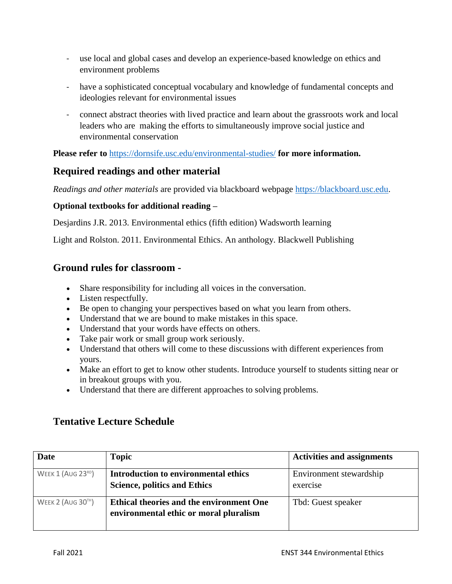- use local and global cases and develop an experience-based knowledge on ethics and environment problems
- have a sophisticated conceptual vocabulary and knowledge of fundamental concepts and ideologies relevant for environmental issues
- connect abstract theories with lived practice and learn about the grassroots work and local leaders who are making the efforts to simultaneously improve social justice and environmental conservation

**Please refer to** <https://dornsife.usc.edu/environmental-studies/> **for more information.**

#### **Required readings and other material**

*Readings and other materials* are provided via blackboard webpage [https://blackboard.usc.edu.](https://blackboard.usc.edu/)

#### **Optional textbooks for additional reading –**

Desjardins J.R. 2013. Environmental ethics (fifth edition) Wadsworth learning

Light and Rolston. 2011. Environmental Ethics. An anthology. Blackwell Publishing

#### **Ground rules for classroom -**

- Share responsibility for including all voices in the conversation.
- Listen respectfully.
- Be open to changing your perspectives based on what you learn from others.
- Understand that we are bound to make mistakes in this space.
- Understand that your words have effects on others.
- Take pair work or small group work seriously.
- Understand that others will come to these discussions with different experiences from yours.
- Make an effort to get to know other students. Introduce yourself to students sitting near or in breakout groups with you.
- Understand that there are different approaches to solving problems.

### **Tentative Lecture Schedule**

| <b>Date</b>          | <b>Topic</b>                                                                       | <b>Activities and assignments</b>   |
|----------------------|------------------------------------------------------------------------------------|-------------------------------------|
| WEEK 1 (AUG 23RD)    | Introduction to environmental ethics<br><b>Science, politics and Ethics</b>        | Environment stewardship<br>exercise |
| WEEK 2 (AUG $30TH$ ) | Ethical theories and the environment One<br>environmental ethic or moral pluralism | Tbd: Guest speaker                  |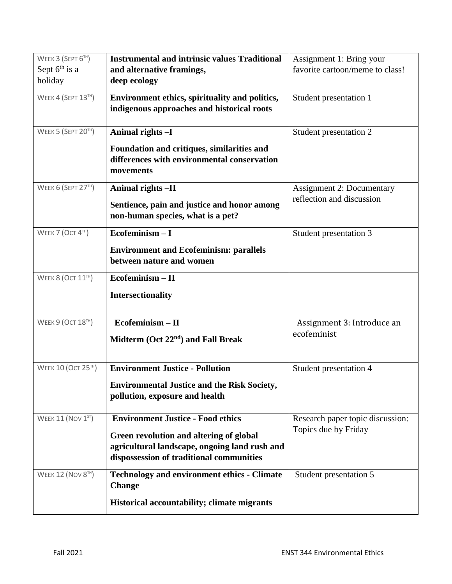| WEEK 3 (SEPT 6TH)         | <b>Instrumental and intrinsic values Traditional</b>                                                                                 | Assignment 1: Bring your         |
|---------------------------|--------------------------------------------------------------------------------------------------------------------------------------|----------------------------------|
| Sept $6th$ is a           | and alternative framings,                                                                                                            | favorite cartoon/meme to class!  |
| holiday                   | deep ecology                                                                                                                         |                                  |
| <b>WEEK 4 (SEPT 13TH)</b> | Environment ethics, spirituality and politics,<br>indigenous approaches and historical roots                                         | Student presentation 1           |
| WEEK 5 (SEPT 20TH)        | Animal rights -I                                                                                                                     | Student presentation 2           |
|                           | Foundation and critiques, similarities and<br>differences with environmental conservation<br>movements                               |                                  |
| WEEK 6 (SEPT 27TH)        | Animal rights -II                                                                                                                    | <b>Assignment 2: Documentary</b> |
|                           | Sentience, pain and justice and honor among<br>non-human species, what is a pet?                                                     | reflection and discussion        |
| WEEK 7 (OCT 4TH)          | $Ecofeminism-I$                                                                                                                      | Student presentation 3           |
|                           | <b>Environment and Ecofeminism: parallels</b><br>between nature and women                                                            |                                  |
| WEEK 8 (OCT 11TH)         | Ecofeminism-II                                                                                                                       |                                  |
|                           | <b>Intersectionality</b>                                                                                                             |                                  |
| <b>WEEK 9 (OCT 18TH)</b>  | Ecofeminism - II                                                                                                                     | Assignment 3: Introduce an       |
|                           | Midterm $(Oct 22nd)$ and Fall Break                                                                                                  | ecofeminist                      |
| <b>WEEK 10 (OCT 25TH)</b> | <b>Environment Justice - Pollution</b>                                                                                               | Student presentation 4           |
|                           | <b>Environmental Justice and the Risk Society,</b><br>pollution, exposure and health                                                 |                                  |
| WEEK 11 (NOV 1ST)         | <b>Environment Justice - Food ethics</b>                                                                                             | Research paper topic discussion: |
|                           | Green revolution and altering of global<br>agricultural landscape, ongoing land rush and<br>dispossession of traditional communities | Topics due by Friday             |
| <b>WEEK 12 (NOV 8TH)</b>  | <b>Technology and environment ethics - Climate</b><br><b>Change</b>                                                                  | Student presentation 5           |
|                           | Historical accountability; climate migrants                                                                                          |                                  |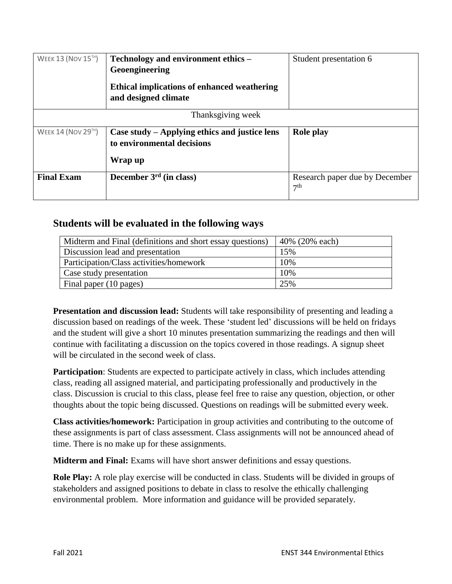| <b>WEEK 13 (NOV 15TH)</b> | Technology and environment ethics –<br>Geoengineering<br>Ethical implications of enhanced weathering<br>and designed climate | Student presentation 6                            |
|---------------------------|------------------------------------------------------------------------------------------------------------------------------|---------------------------------------------------|
| Thanksgiving week         |                                                                                                                              |                                                   |
| <b>WEEK 14 (NOV 29TH)</b> | Case study – Applying ethics and justice lens<br>to environmental decisions<br>Wrap up                                       | <b>Role play</b>                                  |
| <b>Final Exam</b>         | December $3rd$ (in class)                                                                                                    | Research paper due by December<br>7 <sup>th</sup> |

#### **Students will be evaluated in the following ways**

| Midterm and Final (definitions and short essay questions) | 40% (20% each) |
|-----------------------------------------------------------|----------------|
| Discussion lead and presentation                          | 15%            |
| Participation/Class activities/homework                   | 10%            |
| Case study presentation                                   | 10%            |
| Final paper (10 pages)                                    | 25%            |

**Presentation and discussion lead:** Students will take responsibility of presenting and leading a discussion based on readings of the week. These 'student led' discussions will be held on fridays and the student will give a short 10 minutes presentation summarizing the readings and then will continue with facilitating a discussion on the topics covered in those readings. A signup sheet will be circulated in the second week of class.

**Participation**: Students are expected to participate actively in class, which includes attending class, reading all assigned material, and participating professionally and productively in the class. Discussion is crucial to this class, please feel free to raise any question, objection, or other thoughts about the topic being discussed. Questions on readings will be submitted every week.

**Class activities/homework:** Participation in group activities and contributing to the outcome of these assignments is part of class assessment. Class assignments will not be announced ahead of time. There is no make up for these assignments.

**Midterm and Final:** Exams will have short answer definitions and essay questions.

**Role Play:** A role play exercise will be conducted in class. Students will be divided in groups of stakeholders and assigned positions to debate in class to resolve the ethically challenging environmental problem. More information and guidance will be provided separately.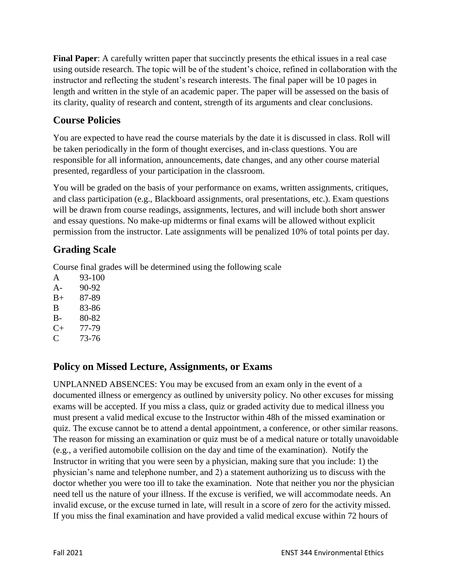**Final Paper**: A carefully written paper that succinctly presents the ethical issues in a real case using outside research. The topic will be of the student's choice, refined in collaboration with the instructor and reflecting the student's research interests. The final paper will be 10 pages in length and written in the style of an academic paper. The paper will be assessed on the basis of its clarity, quality of research and content, strength of its arguments and clear conclusions.

### **Course Policies**

You are expected to have read the course materials by the date it is discussed in class. Roll will be taken periodically in the form of thought exercises, and in-class questions. You are responsible for all information, announcements, date changes, and any other course material presented, regardless of your participation in the classroom.

You will be graded on the basis of your performance on exams, written assignments, critiques, and class participation (e.g., Blackboard assignments, oral presentations, etc.). Exam questions will be drawn from course readings, assignments, lectures, and will include both short answer and essay questions. No make-up midterms or final exams will be allowed without explicit permission from the instructor. Late assignments will be penalized 10% of total points per day.

# **Grading Scale**

Course final grades will be determined using the following scale

- A 93-100 A- 90-92
- B+ 87-89
- B 83-86
- B- 80-82
- C+ 77-79
- C 73-76

# **Policy on Missed Lecture, Assignments, or Exams**

UNPLANNED ABSENCES: You may be excused from an exam only in the event of a documented illness or emergency as outlined by university policy. No other excuses for missing exams will be accepted. If you miss a class, quiz or graded activity due to medical illness you must present a valid medical excuse to the Instructor within 48h of the missed examination or quiz. The excuse cannot be to attend a dental appointment, a conference, or other similar reasons. The reason for missing an examination or quiz must be of a medical nature or totally unavoidable (e.g., a verified automobile collision on the day and time of the examination). Notify the Instructor in writing that you were seen by a physician, making sure that you include: 1) the physician's name and telephone number, and 2) a statement authorizing us to discuss with the doctor whether you were too ill to take the examination. Note that neither you nor the physician need tell us the nature of your illness. If the excuse is verified, we will accommodate needs. An invalid excuse, or the excuse turned in late, will result in a score of zero for the activity missed. If you miss the final examination and have provided a valid medical excuse within 72 hours of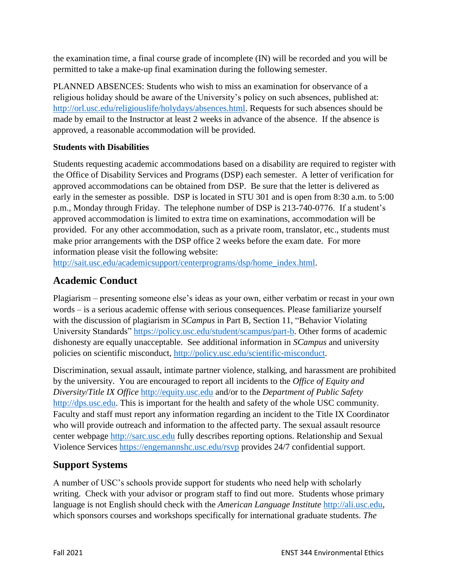the examination time, a final course grade of incomplete (IN) will be recorded and you will be permitted to take a make-up final examination during the following semester.

PLANNED ABSENCES: Students who wish to miss an examination for observance of a religious holiday should be aware of the University's policy on such absences, published at: [http://orl.usc.edu/religiouslife/holydays/absences.html.](http://orl.usc.edu/religiouslife/holydays/absences.html) Requests for such absences should be made by email to the Instructor at least 2 weeks in advance of the absence. If the absence is approved, a reasonable accommodation will be provided.

#### **Students with Disabilities**

Students requesting academic accommodations based on a disability are required to register with the Office of Disability Services and Programs (DSP) each semester. A letter of verification for approved accommodations can be obtained from DSP. Be sure that the letter is delivered as early in the semester as possible. DSP is located in STU 301 and is open from 8:30 a.m. to 5:00 p.m., Monday through Friday. The telephone number of DSP is 213-740-0776. If a student's approved accommodation is limited to extra time on examinations, accommodation will be provided. For any other accommodation, such as a private room, translator, etc., students must make prior arrangements with the DSP office 2 weeks before the exam date. For more information please visit the following website:

[http://sait.usc.edu/academicsupport/centerprograms/dsp/home\\_index.html.](http://sait.usc.edu/academicsupport/centerprograms/dsp/home_index.html)

### **Academic Conduct**

Plagiarism – presenting someone else's ideas as your own, either verbatim or recast in your own words – is a serious academic offense with serious consequences. Please familiarize yourself with the discussion of plagiarism in *SCampus* in Part B, Section 11, "Behavior Violating University Standards" [https://policy.usc.edu/student/scampus/part-b.](https://policy.usc.edu/student/scampus/part-b/) Other forms of academic dishonesty are equally unacceptable. See additional information in *SCampus* and university policies on scientific misconduct, [http://policy.usc.edu/scientific-misconduct.](http://policy.usc.edu/scientific-misconduct/)

Discrimination, sexual assault, intimate partner violence, stalking, and harassment are prohibited by the university. You are encouraged to report all incidents to the *Office of Equity and Diversity*/*Title IX Office* [http://equity.usc.edu](http://equity.usc.edu/) and/or to the *Department of Public Safety* [http://dps.usc.edu.](http://dps.usc.edu/) This is important for the health and safety of the whole USC community. Faculty and staff must report any information regarding an incident to the Title IX Coordinator who will provide outreach and information to the affected party. The sexual assault resource center webpage [http://sarc.usc.edu](http://sarc.usc.edu/) fully describes reporting options. Relationship and Sexual Violence Services<https://engemannshc.usc.edu/rsvp> provides 24/7 confidential support.

### **Support Systems**

A number of USC's schools provide support for students who need help with scholarly writing. Check with your advisor or program staff to find out more. Students whose primary language is not English should check with the *American Language Institute* [http://ali.usc.edu,](http://ali.usc.edu/) which sponsors courses and workshops specifically for international graduate students. *The*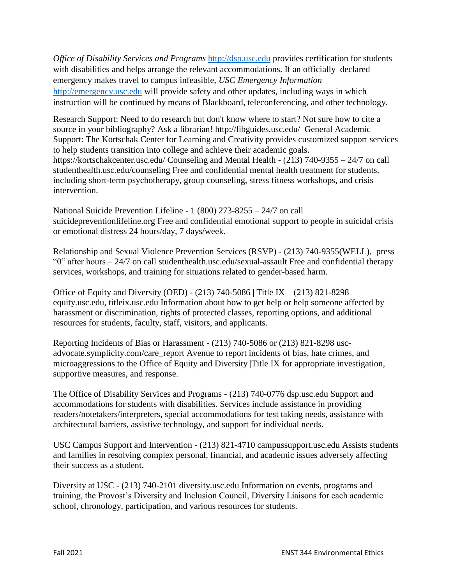*Office of Disability Services and Programs [http://dsp.usc.edu](http://dsp.usc.edu/) provides certification for students* with disabilities and helps arrange the relevant accommodations. If an officially declared emergency makes travel to campus infeasible, *USC Emergency Information*  [http://emergency.usc.edu](http://emergency.usc.edu/) will provide safety and other updates, including ways in which instruction will be continued by means of Blackboard, teleconferencing, and other technology.

Research Support: Need to do research but don't know where to start? Not sure how to cite a source in your bibliography? Ask a librarian! http://libguides.usc.edu/ General Academic Support: The Kortschak Center for Learning and Creativity provides customized support services to help students transition into college and achieve their academic goals. https://kortschakcenter.usc.edu/ Counseling and Mental Health - (213) 740-9355 – 24/7 on call studenthealth.usc.edu/counseling Free and confidential mental health treatment for students, including short-term psychotherapy, group counseling, stress fitness workshops, and crisis intervention.

National Suicide Prevention Lifeline - 1 (800) 273-8255 – 24/7 on call suicidepreventionlifeline.org Free and confidential emotional support to people in suicidal crisis or emotional distress 24 hours/day, 7 days/week.

Relationship and Sexual Violence Prevention Services (RSVP) - (213) 740-9355(WELL), press "0" after hours – 24/7 on call studenthealth.usc.edu/sexual-assault Free and confidential therapy services, workshops, and training for situations related to gender-based harm.

Office of Equity and Diversity (OED) - (213) 740-5086 | Title IX – (213) 821-8298 equity.usc.edu, titleix.usc.edu Information about how to get help or help someone affected by harassment or discrimination, rights of protected classes, reporting options, and additional resources for students, faculty, staff, visitors, and applicants.

Reporting Incidents of Bias or Harassment - (213) 740-5086 or (213) 821-8298 uscadvocate.symplicity.com/care\_report Avenue to report incidents of bias, hate crimes, and microaggressions to the Office of Equity and Diversity |Title IX for appropriate investigation, supportive measures, and response.

The Office of Disability Services and Programs - (213) 740-0776 dsp.usc.edu Support and accommodations for students with disabilities. Services include assistance in providing readers/notetakers/interpreters, special accommodations for test taking needs, assistance with architectural barriers, assistive technology, and support for individual needs.

USC Campus Support and Intervention - (213) 821-4710 campussupport.usc.edu Assists students and families in resolving complex personal, financial, and academic issues adversely affecting their success as a student.

Diversity at USC - (213) 740-2101 diversity.usc.edu Information on events, programs and training, the Provost's Diversity and Inclusion Council, Diversity Liaisons for each academic school, chronology, participation, and various resources for students.